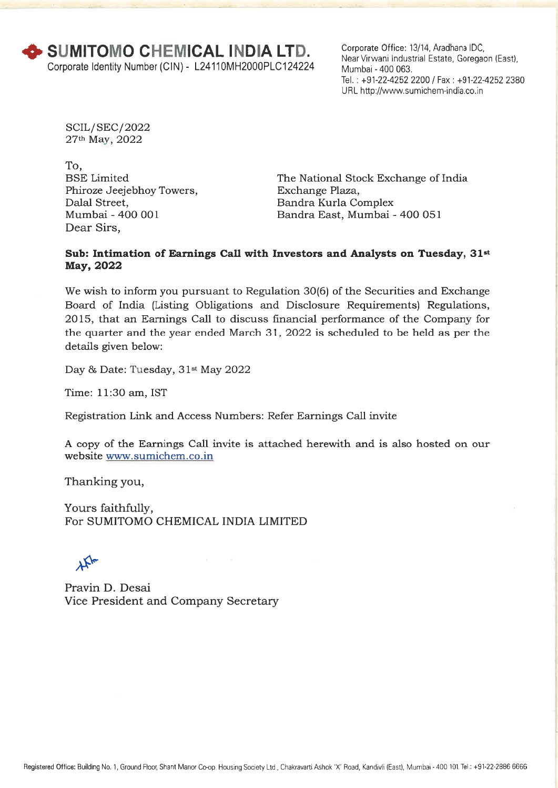Corporate Office: 13/14, Aradhana IDC, Near Virwani Industrial Estate, Goregaon (East), Mumbai - 400 063. Tel. : +91-22-4252 2200 / Fax : +91-22-4252 2380 URL http://www.sumichem-india.co.in

SOIL/ SEC/2022 27th May, 2022

To, BSE Limited Phiroze Jeejebhoy Towers, Dalal Street, Mumbai - 400 001 Dear Sirs,

The National Stock Exchange of India Exchange Plaza, Bandra Kurla Complex Bandra East, Mumbai - 400 051

#### **Sub: Intimation of Earnings Call with Investors and Analysts on Tuesday, 31st May, 2022**

We wish to inform you pursuant to Regulation 30(6) of the Securities and Exchange Board of India (Listing Obligations and Disclosure Requirements) Regulations, 2015, that an Earnings Call to discuss financial performance of the Company for the quarter and the year ended March 31, 2022 is scheduled to be held as per the details given below:

Day & Date: Tuesday, 31<sup>st</sup> May 2022

Time: 11:30 am, IST

Registration Link and Access Numbers: Refer Earnings Call invite

A copy of the Earnings Call invite is attached herewith and is also hosted on our website www.sumichem.co.in

Thanking you,

Yours faithfully, For SUMITOMO CHEMICAL INDIA LIMITED

 $\gamma_{\rm A}$ 

Pravin D. Desai Vice President and Company Secretary